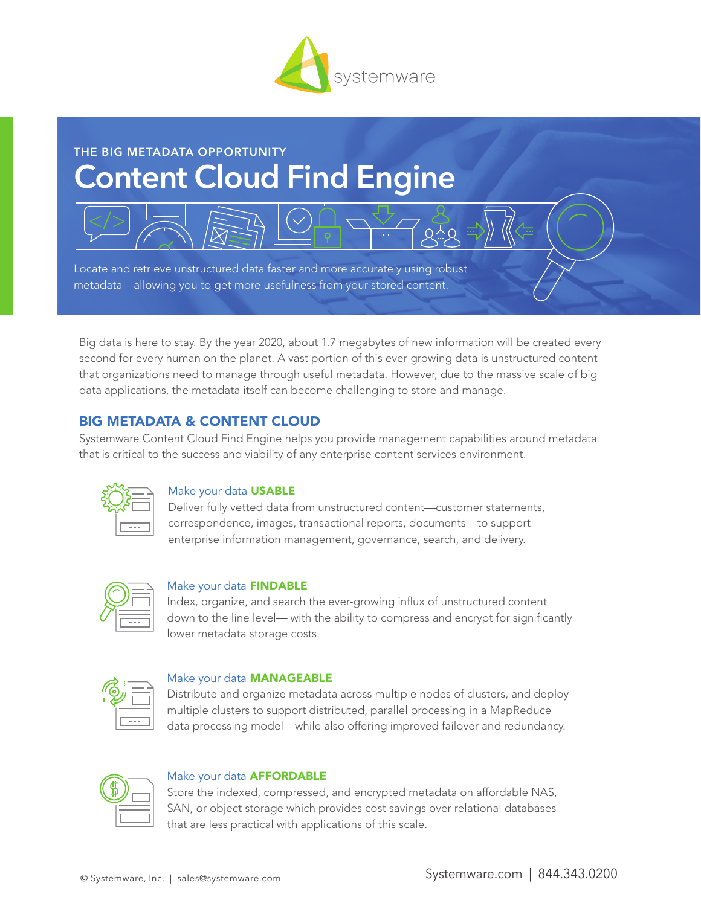

# **THE BIG METADATA OPPORTUNITY Content Cloud Find Engine**

Locate and retrieve unstructured data faster and more accurately using robust metadata—allowing you to get more usefulness from your stored content.

Big data is here to stay. By the year 2020, about 1.7 megabytes of new information will be created every second for every human on the planet. A vast portion of this ever-growing data is unstructured content that organizations need to manage through useful metadata. However, due to the massive scale of big data applications, the metadata itself can become challenging to store and manage.

## BIG METADATA & CONTENT CLOUD

Systemware Content Cloud Find Engine helps you provide management capabilities around metadata that is critical to the success and viability of any enterprise content services environment.



#### Make your data USABLE

Deliver fully vetted data from unstructured content—customer statements, correspondence, images, transactional reports, documents—to support enterprise information management, governance, search, and delivery.



#### Make your data FINDABLE

Index, organize, and search the ever-growing influx of unstructured content down to the line level— with the ability to compress and encrypt for significantly lower metadata storage costs.



#### Make your data **MANAGEABLE**

Distribute and organize metadata across multiple nodes of clusters, and deploy multiple clusters to support distributed, parallel processing in a MapReduce data processing model—while also offering improved failover and redundancy.



#### Make your data AFFORDABLE

Store the indexed, compressed, and encrypted metadata on affordable NAS, SAN, or object storage which provides cost savings over relational databases that are less practical with applications of this scale.